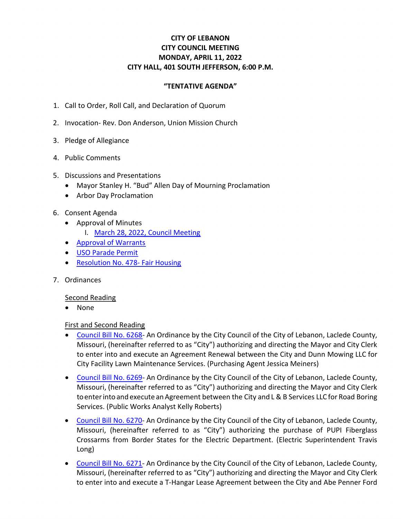# **CITY OF LEBANON CITY COUNCIL MEETING MONDAY, APRIL 11, 2022 CITY HALL, 401 SOUTH JEFFERSON, 6:00 P.M.**

# **"TENTATIVE AGENDA"**

- 1. Call to Order, Roll Call, and Declaration of Quorum
- 2. Invocation- Rev. Don Anderson, Union Mission Church
- 3. Pledge of Allegiance
- 4. Public Comments
- 5. Discussions and Presentations
	- Mayor Stanley H. "Bud" Allen Day of Mourning Proclamation
	- Arbor Day Proclamation
- 6. Consent Agenda
	- Approval of Minutes
		- I. [March 28, 2022, Council Meeting](https://www.lebanonmissouri.org/DocumentCenter/View/36015/03-28-22-Draft-Minutes)
	- [Approval of Warrants](https://www.lebanonmissouri.org/DocumentCenter/View/36006/Warrants)
	- [USO Parade Permit](https://www.lebanonmissouri.org/DocumentCenter/View/36014/USO-Parade-Permit)
	- [Resolution No. 478-](https://www.lebanonmissouri.org/DocumentCenter/View/36007/Resolution-No-478--Fair-Housing) Fair Housing
- 7. Ordinances

### Second Reading

• None

### First and Second Reading

- [Council Bill No. 6268-](https://www.lebanonmissouri.org/DocumentCenter/View/36008/Council-Bill-No-6268--Agreement-Lawn-Maintenance-Services-for-City-Facilities-Dunn-Mowing-LLC) An Ordinance by the City Council of the City of Lebanon, Laclede County, Missouri, (hereinafter referred to as "City") authorizing and directing the Mayor and City Clerk to enter into and execute an Agreement Renewal between the City and Dunn Mowing LLC for City Facility Lawn Maintenance Services. (Purchasing Agent Jessica Meiners)
- [Council Bill No. 6269-](https://www.lebanonmissouri.org/DocumentCenter/View/36009/Council-Bill-No-6269--Agreement-Road-Boring-Services-L-and-B-Services-LLC) An Ordinance by the City Council of the City of Lebanon, Laclede County, Missouri, (hereinafter referred to as "City") authorizing and directing the Mayor and City Clerk to enter into and execute an Agreement between the City and L & B Services LLC for Road Boring Services. (Public Works Analyst Kelly Roberts)
- [Council Bill No. 6270-](https://www.lebanonmissouri.org/DocumentCenter/View/36010/Council-Bill-No-6270--Purchase-PUPI-Fiberglass-Crossarms-Restock-Border-States) An Ordinance by the City Council of the City of Lebanon, Laclede County, Missouri, (hereinafter referred to as "City") authorizing the purchase of PUPI Fiberglass Crossarms from Border States for the Electric Department. (Electric Superintendent Travis Long)
- [Council Bill No. 6271-](https://www.lebanonmissouri.org/DocumentCenter/View/36011/Council-Bill-No-6271--Agreement-T-Hangar-9-Lease--Penner-Ford-Aviation-LLC) An Ordinance by the City Council of the City of Lebanon, Laclede County, Missouri, (hereinafter referred to as "City") authorizing and directing the Mayor and City Clerk to enter into and execute a T-Hangar Lease Agreement between the City and Abe Penner Ford